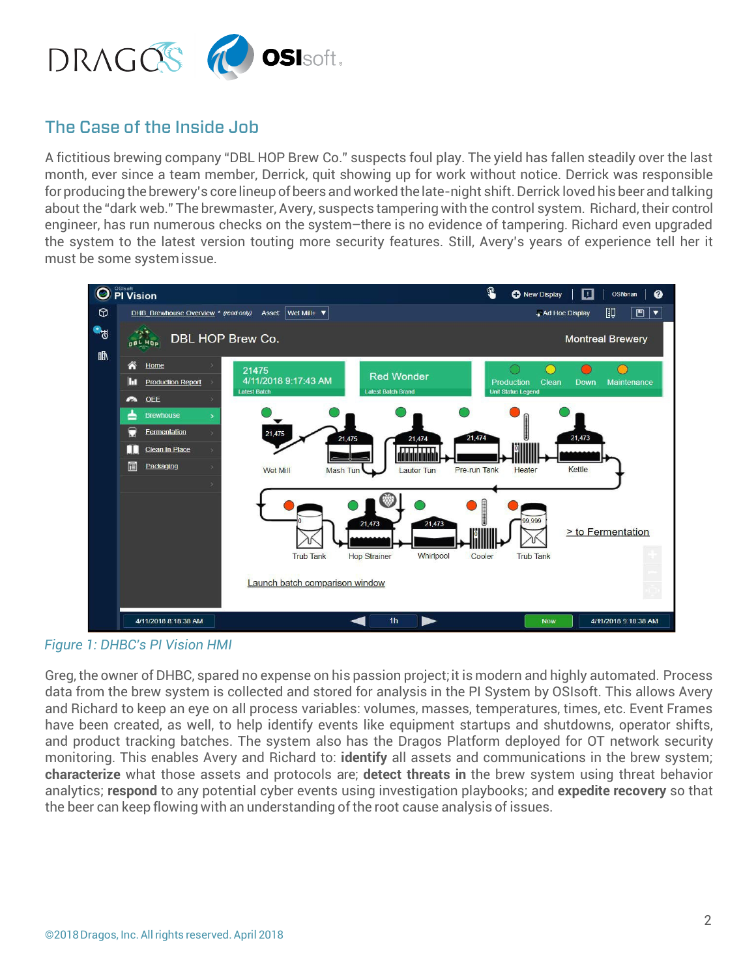

# The Case of the Inside Job

A fictitious brewing company "DBL HOP Brew Co." suspects foul play. The yield has fallen steadily over the last month, ever since a team member, Derrick, quit showing up for work without notice. Derrick was responsible for producing the brewery's core lineup of beers and worked the late-night shift. Derrick loved his beer and talking about the "dark web." The brewmaster, Avery, suspects tamperingwith the control system. Richard, their control engineer, has run numerous checks on the system–there is no evidence of tampering. Richard even upgraded the system to the latest version touting more security features. Still, Avery's years of experience tell her it must be some systemissue.



*Figure 1: DHBC's PI Vision HMI*

Greg, the owner of DHBC, spared no expense on his passion project;it is modern and highly automated. Process data from the brew system is collected and stored for analysis in the PI System by OSIsoft. This allows Avery and Richard to keep an eye on all process variables: volumes, masses, temperatures, times, etc. Event Frames have been created, as well, to help identify events like equipment startups and shutdowns, operator shifts, and product tracking batches. The system also has the Dragos Platform deployed for OT network security monitoring. This enables Avery and Richard to: **identify** all assets and communications in the brew system; **characterize** what those assets and protocols are; **detect threats in** the brew system using threat behavior analytics; **respond** to any potential cyber events using investigation playbooks; and **expedite recovery** so that the beer can keep flowing with an understanding of the root cause analysis of issues.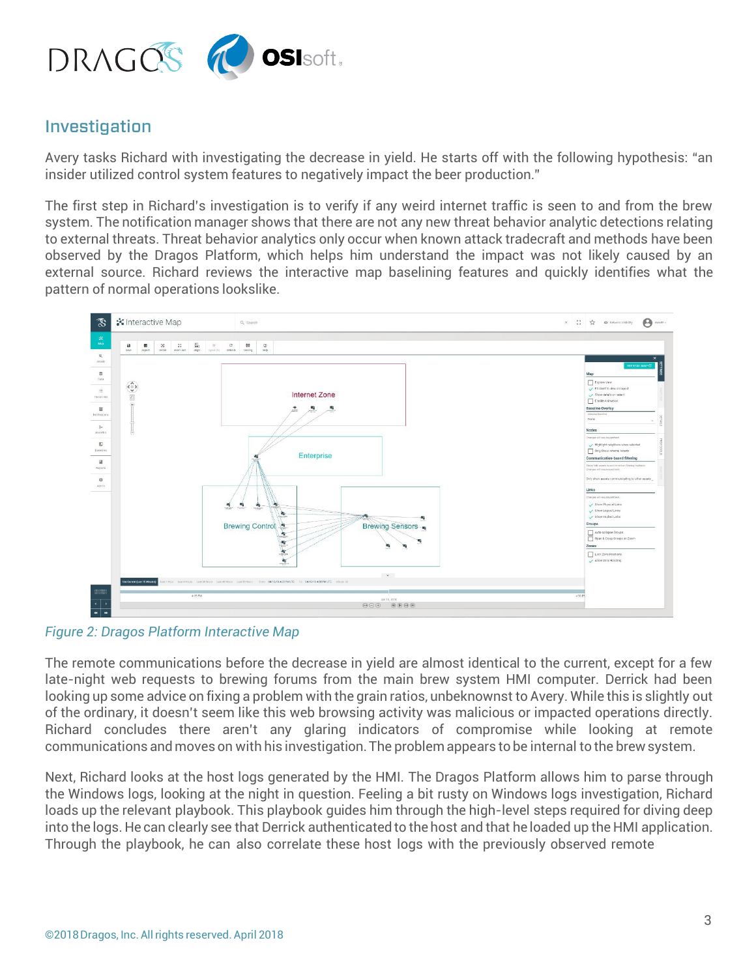

# Investigation

Avery tasks Richard with investigating the decrease in yield. He starts off with the following hypothesis: "an insider utilized control system features to negatively impact the beer production."

The first step in Richard's investigation is to verify if any weird internet traffic is seen to and from the brew system. The notification manager shows that there are not any new threat behavior analytic detections relating to external threats. Threat behavior analytics only occur when known attack tradecraft and methods have been observed by the Dragos Platform, which helps him understand the impact was not likely caused by an external source. Richard reviews the interactive map baselining features and quickly identifies what the pattern of normal operations lookslike.



*Figure 2: Dragos Platform Interactive Map*

The remote communications before the decrease in yield are almost identical to the current, except for a few late-night web requests to brewing forums from the main brew system HMI computer. Derrick had been looking up some advice on fixing a problem with the grain ratios, unbeknownst to Avery. While this is slightly out of the ordinary, it doesn't seem like this web browsing activity was malicious or impacted operations directly. Richard concludes there aren't any glaring indicators of compromise while looking at remote communications and moves on with his investigation. The problem appears to be internal to the brew system.

Next, Richard looks at the host logs generated by the HMI. The Dragos Platform allows him to parse through the Windows logs, looking at the night in question. Feeling a bit rusty on Windows logs investigation, Richard loads up the relevant playbook. This playbook guides him through the high-level steps required for diving deep into the logs. He can clearly see that Derrick authenticated to the host and that he loaded up the HMI application. Through the playbook, he can also correlate these host logs with the previously observed remote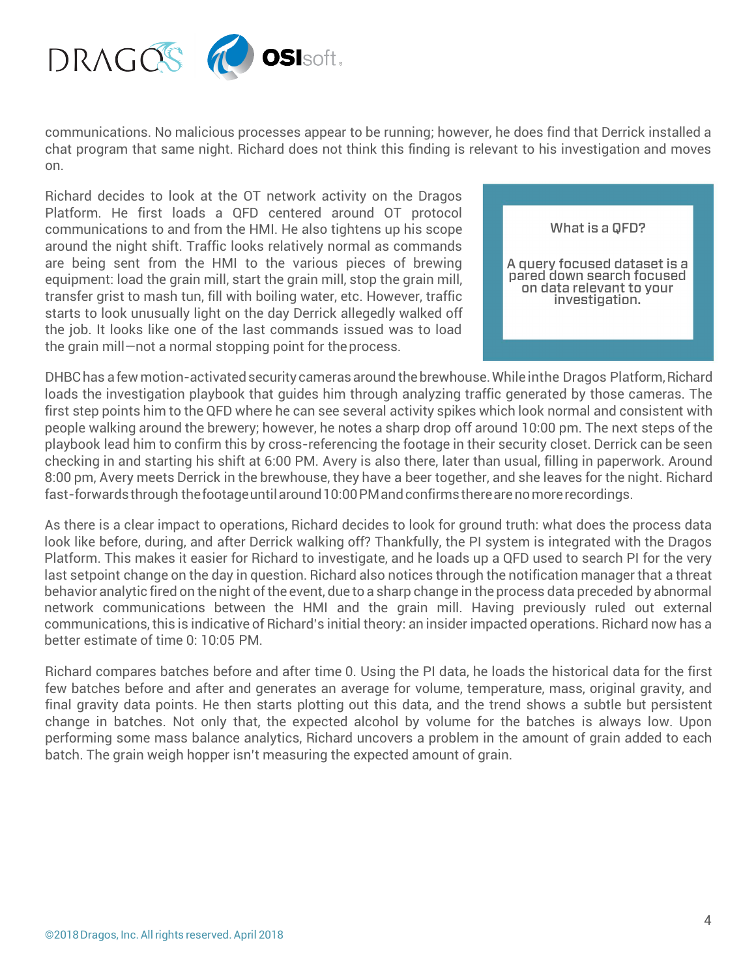

communications. No malicious processes appear to be running; however, he does find that Derrick installed a chat program that same night. Richard does not think this finding is relevant to his investigation and moves on.

Richard decides to look at the OT network activity on the Dragos Platform. He first loads a QFD centered around OT protocol communications to and from the HMI. He also tightens up his scope around the night shift. Traffic looks relatively normal as commands are being sent from the HMI to the various pieces of brewing equipment: load the grain mill, start the grain mill, stop the grain mill, transfer grist to mash tun, fill with boiling water, etc. However, traffic starts to look unusually light on the day Derrick allegedly walked off the job. It looks like one of the last commands issued was to load the grain mill—not a normal stopping point for theprocess.



DHBC has a few motion-activated security cameras around the brewhouse. While in the Dragos Platform, Richard loads the investigation playbook that guides him through analyzing traffic generated by those cameras. The first step points him to the QFD where he can see several activity spikes which look normal and consistent with people walking around the brewery; however, he notes a sharp drop off around 10:00 pm. The next steps of the playbook lead him to confirm this by cross-referencing the footage in their security closet. Derrick can be seen checking in and starting his shift at 6:00 PM. Avery is also there, later than usual, filling in paperwork. Around 8:00 pm, Avery meets Derrick in the brewhouse, they have a beer together, and she leaves for the night. Richard fast-forwards through the footage until around 10:00 PM and confirms there are no more recordings.

As there is a clear impact to operations, Richard decides to look for ground truth: what does the process data look like before, during, and after Derrick walking off? Thankfully, the PI system is integrated with the Dragos Platform. This makes it easier for Richard to investigate, and he loads up a QFD used to search PI for the very last setpoint change on the day in question. Richard also notices through the notification manager that a threat behavior analytic fired on the night of the event, due to a sharp change in the process data preceded by abnormal network communications between the HMI and the grain mill. Having previously ruled out external communications, this is indicative of Richard's initial theory: an insider impacted operations. Richard now has a better estimate of time 0: 10:05 PM.

Richard compares batches before and after time 0. Using the PI data, he loads the historical data for the first few batches before and after and generates an average for volume, temperature, mass, original gravity, and final gravity data points. He then starts plotting out this data, and the trend shows a subtle but persistent change in batches. Not only that, the expected alcohol by volume for the batches is always low. Upon performing some mass balance analytics, Richard uncovers a problem in the amount of grain added to each batch. The grain weigh hopper isn't measuring the expected amount of grain.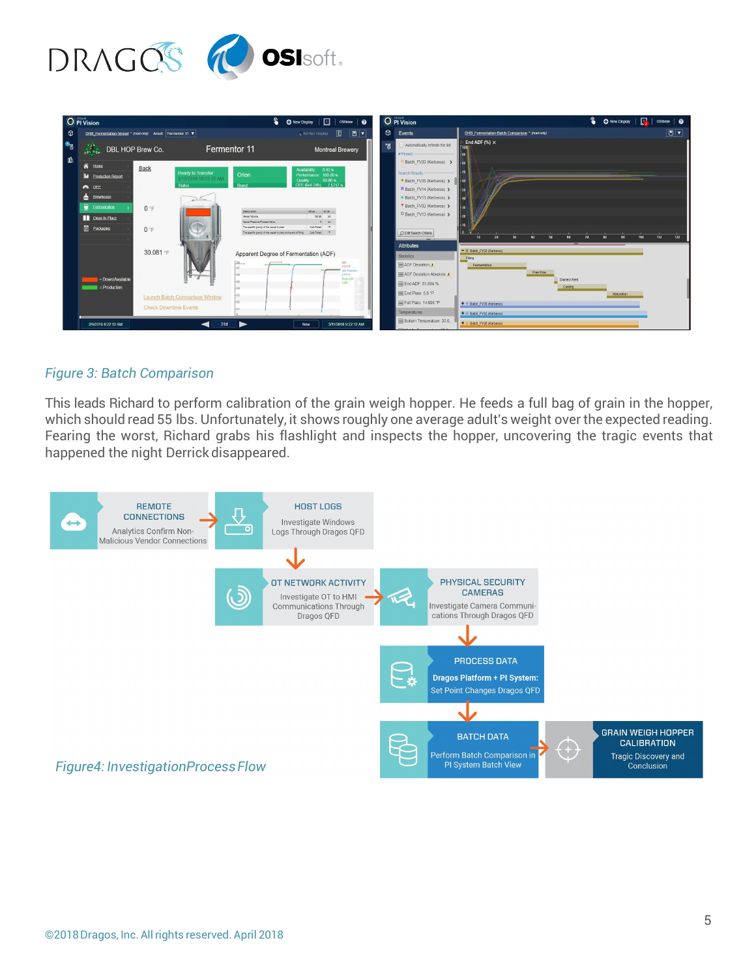

| <sup>O</sup> PI Vision<br>€<br>O New Display             0Silbrian   @ |                                                                                                                                                                                                                                                                  |                                                                                                                                                                                                                                                                                                                                                                                                    | O PI Vision                                                                                                                                                                                                                                                                                                                                                                                                                  | S.                          |
|------------------------------------------------------------------------|------------------------------------------------------------------------------------------------------------------------------------------------------------------------------------------------------------------------------------------------------------------|----------------------------------------------------------------------------------------------------------------------------------------------------------------------------------------------------------------------------------------------------------------------------------------------------------------------------------------------------------------------------------------------------|------------------------------------------------------------------------------------------------------------------------------------------------------------------------------------------------------------------------------------------------------------------------------------------------------------------------------------------------------------------------------------------------------------------------------|-----------------------------|
| 0                                                                      | DHB_Fermentation-Vessel * (read-only) Asset: Fermentor 11 \                                                                                                                                                                                                      | ₩<br>P<br>Md Hoc Display                                                                                                                                                                                                                                                                                                                                                                           | $\circ$<br>Events<br>DHB Fermentation-Batch Comparison * (read-only)                                                                                                                                                                                                                                                                                                                                                         | $\boxed{m}$                 |
| $\bullet$<br>⊪                                                         | <b>OBL HOP</b><br>DBL HOP Brew Co.                                                                                                                                                                                                                               | Fermentor 11<br><b>Montreal Brewery</b>                                                                                                                                                                                                                                                                                                                                                            | End ADF $(\%) \times$<br>Automatically refresh the list<br>問.<br>* Pinned<br>$-90$                                                                                                                                                                                                                                                                                                                                           |                             |
|                                                                        | <b>谷</b> Home<br><b>Back</b><br><b>Ready to Transfer</b><br><b>II</b> Production Report<br>3/10/2018 10:23:35 AM<br><b>Status</b><br>A OEE<br><b>Brewhouse</b><br>activities.<br>Fermentation<br>0 F<br>Clean In Place<br>$\bigoplus$<br><b>Packaging</b><br>0 F | 8.43%<br><b>Availability</b><br>Orion<br>Performance: 100.00 %<br>89.86%<br>Ouality<br>OEE (last 24h) 7.5747 %<br>Brand<br><b>Description</b><br>Value Units<br><b>Asset Volume</b><br>198.89 661<br>Vessel Pressure Process Value<br>$0$ $051$<br>Calo Falled 'P<br>The specific organy of the vessel in plato<br>The specific gravity of the vessel in plato at the end of filing Calo Pailed "P | Batch FV33 (Kerberos) ><br>Search Results<br>Batch_FV35 (Kerberos) ><br>Batch FV14 (Kerberos) ><br>$-50$<br>A Batch_FV13 (Kerberos) ><br>V Batch_FV32 (Kerberos) ><br>$+30$<br>O Batch_FV13 (Kerberos) ><br>$-20$<br>$-10$<br>C Edit Search Criteria<br>l o<br>24<br>14                                                                                                                                                      | 120<br>10d<br>11d<br>$\sim$ |
|                                                                        | 30.081 °F<br>= Down/Available<br>$=$ Production<br><b>Launch Batch Comparison Window</b><br><b>Check Downtime Events</b><br>31d<br>2/8/2018 8:22:12 AM                                                                                                           | Apparent Degree of Fermentation (ADF)<br>$00 -$<br>0.67179<br><b>CE Prodution</b><br>0.67914<br>Target ADF<br>0.666<br>3/11/2018 9:22:12 AM<br><b>Now</b>                                                                                                                                                                                                                                          | <b>Attributes</b><br>- W Batch_FV32 (Kerberos)<br><b>Statistics</b><br>Filing<br><b>E ADF</b> Deviation A<br>Fermentation<br>Free Rise<br>ADF Deviation Absolute<br><b>Diacetyl Rest</b><br>目 End ADF: 61.894 %<br>Cooling<br>End Plato: 5.6 °P<br>Fill Plato: 14.696 °P<br>+ + Batch_FV35 (Kerberos)<br><b>Temperatures</b><br>+ X Batch_FV32 (Kerberos)<br><b>E Bottom Temperature: 30.0.</b><br>+ I Batch_FV35 (Kerberos) | Maturation                  |

#### *Figure 3: Batch Comparison*

This leads Richard to perform calibration of the grain weigh hopper. He feeds a full bag of grain in the hopper, which should read 55 lbs. Unfortunately, it shows roughly one average adult's weight overthe expected reading. Fearing the worst, Richard grabs his flashlight and inspects the hopper, uncovering the tragic events that happened the night Derrick disappeared.